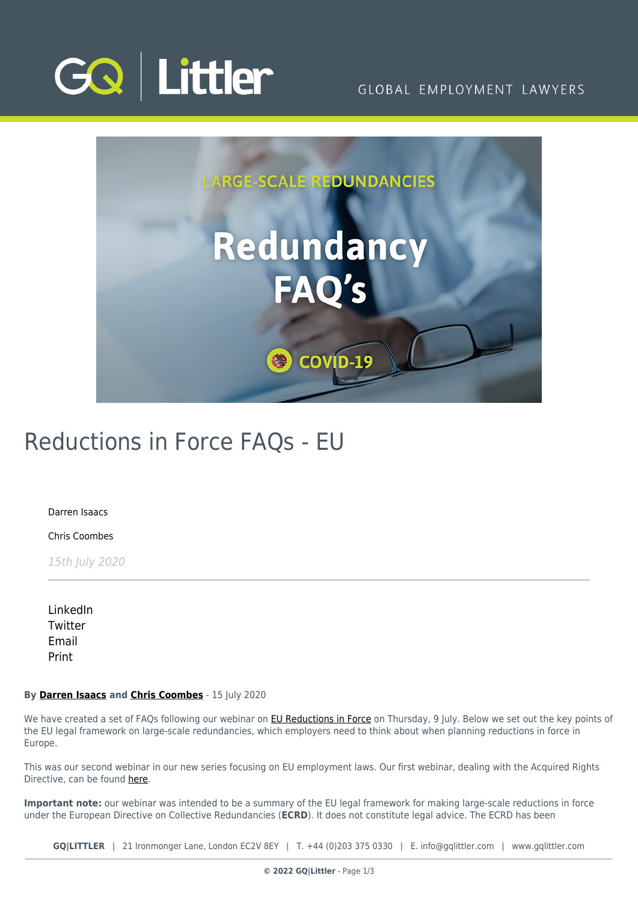

GLOBAL EMPLOYMENT LAWYERS



# Reductions in Force FAQs - EU

[Darren Isaacs](https://www.gqlittler.com/about-us/the-team/darren-isaacs)

[Chris Coombes](https://www.gqlittler.com/about-us/the-team/chris-coombes)

15th July 2020

[LinkedIn](https://www.linkedin.com/shareArticle?mini=true&url=https%3A%2F%2Fwww.gqlittler.com%2Fresources%2Fnews-and-views%2Freductions-in-force-the-eu-process-faqs.htm%3Funlock%3Dtrue&title=Reductions+in+Force+FAQs+-+EU&summary=A+set+of+frequently+asked+questions+which+outlines+the+key+points+of+the+EU+legal+framework+on+large-scale+redundancies+that+employers+need+to+think+about+when+planning+reductions+in+force+in+Europe.&source=GQ+%7C+Littler) **[Twitter](https://twitter.com/share?text=Reductions+in+Force+FAQs+-+EU&url=https%3A%2F%2Fwww.gqlittler.com%2Fresources%2Fnews-and-views%2Freductions-in-force-the-eu-process-faqs.htm&hashtags=)** [Email](mailto:?subject=Reductions in Force FAQs - EU&body=I) [Print](https://www.bg-pdf.co.uk/_GQ/page.php?M=6148523063484d364c793933643363755a33467361585230624756794c6d4e76625339795a584e7664584a6a5a584d76626d563363793168626d5174646d6c6c64334d76636d566b64574e3061573975637931706269316d62334a6a5a533130614755745a58557463484a765932567a6379316d5958467a4c6d683062534e4149314a6c5a48566a64476c76626e4d6761573467526d397959325567526b465263794174494556564930416a636d566b64574e3061573975637931706269316d62334a6a5a533130614755745a58557463484a765932567a6379316d5958467a)

# **By [Darren Isaacs](https://www.gqlittler.com/about-us/the-team/darren-isaacs) and [Chris Coombes](https://www.gqlittler.com/about-us/the-team/chris-coombes)** - 15 July 2020

We have created a set of FAQs following our webinar on **EU Reductions in Force** on Thursday, 9 July. Below we set out the key points of the EU legal framework on large-scale redundancies, which employers need to think about when planning reductions in force in Europe.

This was our second webinar in our new series focusing on EU employment laws. Our first webinar, dealing with the Acquired Rights Directive, can be found [here](https://www.gqlittler.com/resources/events/business-transactions-in-europe-moving-employees-around.htm).

**Important note:** our webinar was intended to be a summary of the EU legal framework for making large-scale reductions in force under the European Directive on Collective Redundancies (**ECRD**). It does not constitute legal advice. The ECRD has been

**GQ|LITTLER** | 21 Ironmonger Lane, London EC2V 8EY | T. [+44 \(0\)203 375 0330](https://www.bg-pdf.co.uk/_GQ/tel:+442033750330) | E. [info@gqlittler.com](mailto:info@gqlittler.com) | [www.gqlittler.com](https://www.gqlittler.com)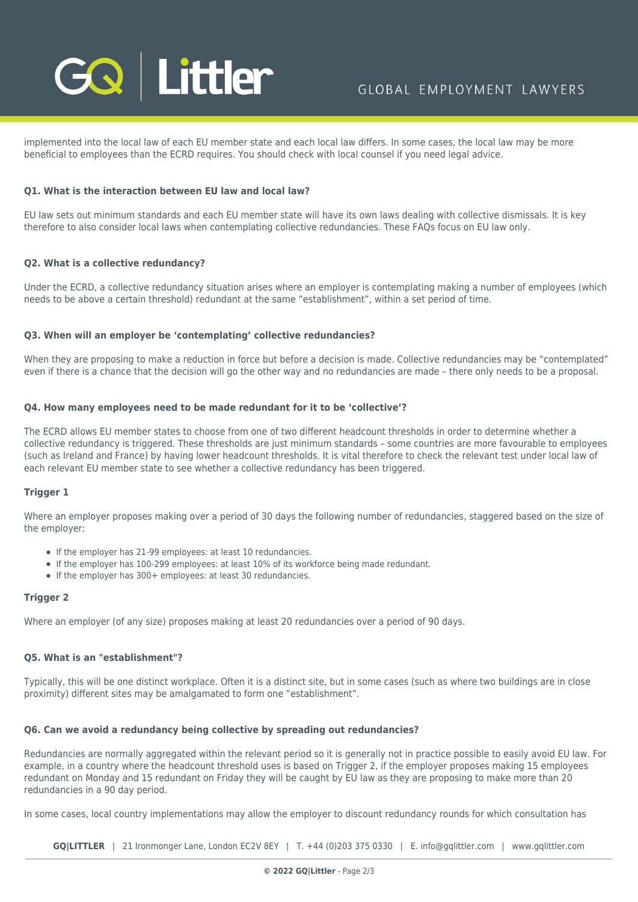

implemented into the local law of each EU member state and each local law differs. In some cases, the local law may be more beneficial to employees than the ECRD requires. You should check with local counsel if you need legal advice.

# **Q1. What is the interaction between EU law and local law?**

EU law sets out minimum standards and each EU member state will have its own laws dealing with collective dismissals. It is key therefore to also consider local laws when contemplating collective redundancies. These FAQs focus on EU law only.

# **Q2. What is a collective redundancy?**

Under the ECRD, a collective redundancy situation arises where an employer is contemplating making a number of employees (which needs to be above a certain threshold) redundant at the same "establishment", within a set period of time.

# **Q3. When will an employer be 'contemplating' collective redundancies?**

When they are proposing to make a reduction in force but before a decision is made. Collective redundancies may be "contemplated" even if there is a chance that the decision will go the other way and no redundancies are made – there only needs to be a proposal.

#### **Q4. How many employees need to be made redundant for it to be 'collective'?**

The ECRD allows EU member states to choose from one of two different headcount thresholds in order to determine whether a collective redundancy is triggered. These thresholds are just minimum standards – some countries are more favourable to employees (such as Ireland and France) by having lower headcount thresholds. It is vital therefore to check the relevant test under local law of each relevant EU member state to see whether a collective redundancy has been triggered.

# **Trigger 1**

Where an employer proposes making over a period of 30 days the following number of redundancies, staggered based on the size of the employer:

- If the employer has 21-99 employees: at least 10 redundancies.
- If the employer has 100-299 employees: at least 10% of its workforce being made redundant.
- If the employer has 300+ employees: at least 30 redundancies.

# **Trigger 2**

Where an employer (of any size) proposes making at least 20 redundancies over a period of 90 days.

# **Q5. What is an "establishment"?**

Typically, this will be one distinct workplace. Often it is a distinct site, but in some cases (such as where two buildings are in close proximity) different sites may be amalgamated to form one "establishment".

# **Q6. Can we avoid a redundancy being collective by spreading out redundancies?**

Redundancies are normally aggregated within the relevant period so it is generally not in practice possible to easily avoid EU law. For example, in a country where the headcount threshold uses is based on Trigger 2, if the employer proposes making 15 employees redundant on Monday and 15 redundant on Friday they will be caught by EU law as they are proposing to make more than 20 redundancies in a 90 day period.

In some cases, local country implementations may allow the employer to discount redundancy rounds for which consultation has

**GQ|LITTLER** | 21 Ironmonger Lane, London EC2V 8EY | T. [+44 \(0\)203 375 0330](https://www.bg-pdf.co.uk/_GQ/tel:+442033750330) | E. [info@gqlittler.com](mailto:info@gqlittler.com) | [www.gqlittler.com](https://www.gqlittler.com)